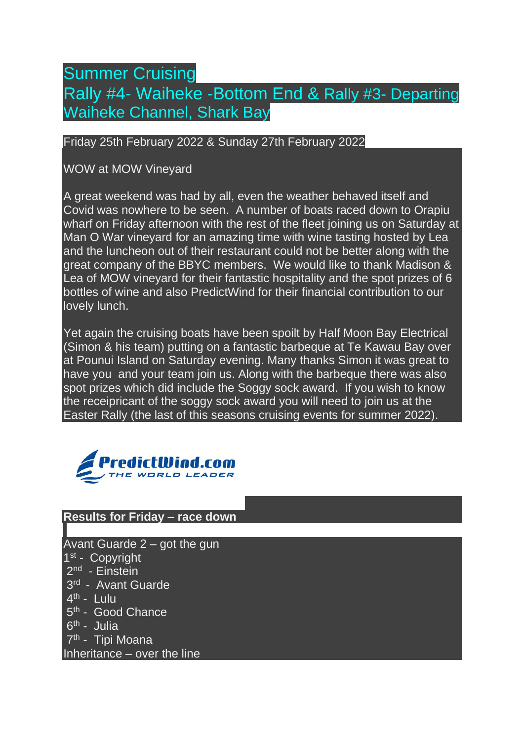# Summer Cruising Rally #4- Waiheke -Bottom End & Rally #3- Departing Waiheke Channel, Shark Bay

#### Friday 25th February 2022 & Sunday 27th February 2022

### WOW at MOW Vineyard

A great weekend was had by all, even the weather behaved itself and Covid was nowhere to be seen. A number of boats raced down to Orapiu wharf on Friday afternoon with the rest of the fleet joining us on Saturday at Man O War vineyard for an amazing time with wine tasting hosted by Lea and the luncheon out of their restaurant could not be better along with the great company of the BBYC members. We would like to thank Madison & Lea of MOW vineyard for their fantastic hospitality and the spot prizes of 6 bottles of wine and also PredictWind for their financial contribution to our lovely lunch.

Yet again the cruising boats have been spoilt by Half Moon Bay Electrical (Simon & his team) putting on a fantastic barbeque at Te Kawau Bay over at Pounui Island on Saturday evening. Many thanks Simon it was great to have you and your team join us. Along with the barbeque there was also spot prizes which did include the Soggy sock award. If you wish to know the receipricant of the soggy sock award you will need to join us at the Easter Rally (the last of this seasons cruising events for summer 2022).



### **Results for Friday – race down**

Avant Guarde 2 – got the gun 1<sup>st</sup> - Copyright 2<sup>nd</sup> - Einstein 3<sup>rd</sup> - Avant Guarde 4<sup>th</sup> - Lulu 5<sup>th</sup> - Good Chance 6<sup>th</sup> - Julia 7<sup>th</sup> - Tipi Moana Inheritance – over the line